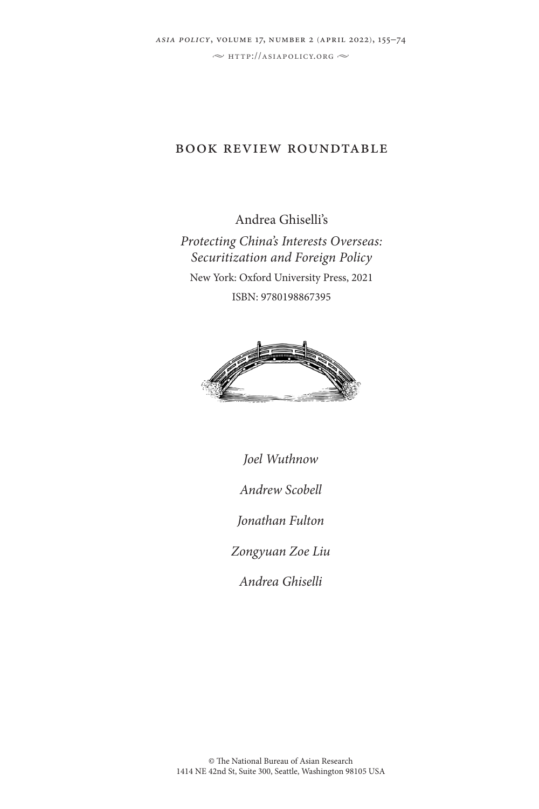# book review roundtable

Andrea Ghiselli's *Protecting China's Interests Overseas: Securitization and Foreign Policy* New York: Oxford University Press, 2021 ISBN: 9780198867395



*Joel Wuthnow Andrew Scobell*

*Jonathan Fulton*

*Zongyuan Zoe Liu*

*Andrea Ghiselli*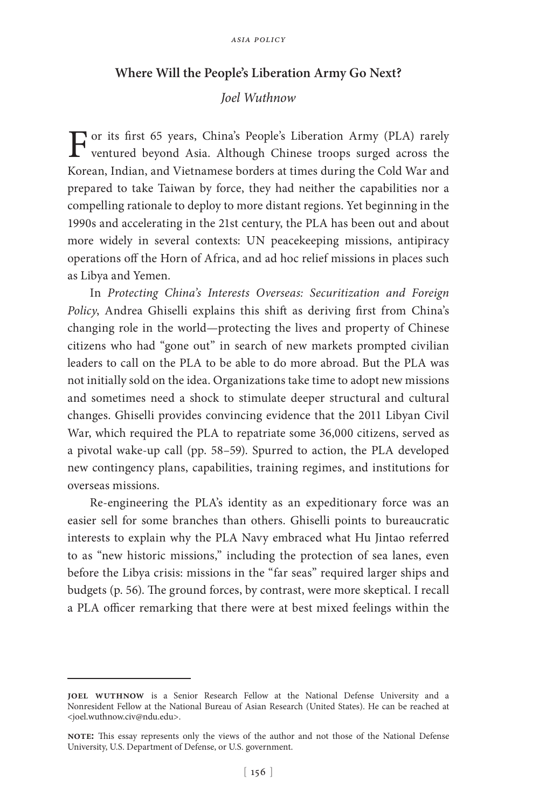#### **Where Will the People's Liberation Army Go Next?**

#### *Joel Wuthnow*

For its first 65 years, China's People's Liberation Army (PLA) rarely ventured beyond Asia. Although Chinese troops surged across the Korean, Indian, and Vietnamese borders at times during the Cold War and prepared to take Taiwan by force, they had neither the capabilities nor a compelling rationale to deploy to more distant regions. Yet beginning in the 1990s and accelerating in the 21st century, the PLA has been out and about more widely in several contexts: UN peacekeeping missions, antipiracy operations off the Horn of Africa, and ad hoc relief missions in places such as Libya and Yemen.

In *Protecting China's Interests Overseas: Securitization and Foreign Policy*, Andrea Ghiselli explains this shift as deriving first from China's changing role in the world—protecting the lives and property of Chinese citizens who had "gone out" in search of new markets prompted civilian leaders to call on the PLA to be able to do more abroad. But the PLA was not initially sold on the idea. Organizations take time to adopt new missions and sometimes need a shock to stimulate deeper structural and cultural changes. Ghiselli provides convincing evidence that the 2011 Libyan Civil War, which required the PLA to repatriate some 36,000 citizens, served as a pivotal wake-up call (pp. 58–59). Spurred to action, the PLA developed new contingency plans, capabilities, training regimes, and institutions for overseas missions.

Re-engineering the PLA's identity as an expeditionary force was an easier sell for some branches than others. Ghiselli points to bureaucratic interests to explain why the PLA Navy embraced what Hu Jintao referred to as "new historic missions," including the protection of sea lanes, even before the Libya crisis: missions in the "far seas" required larger ships and budgets (p. 56). The ground forces, by contrast, were more skeptical. I recall a PLA officer remarking that there were at best mixed feelings within the

**joel wuthnow** is a Senior Research Fellow at the National Defense University and a Nonresident Fellow at the National Bureau of Asian Research (United States). He can be reached at <joel.wuthnow.civ@ndu.edu>.

**note:** This essay represents only the views of the author and not those of the National Defense University, U.S. Department of Defense, or U.S. government.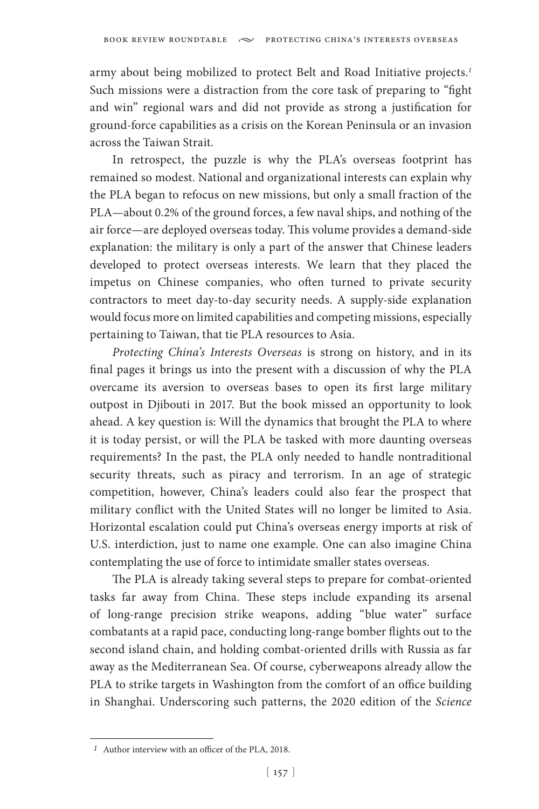army about being mobilized to protect Belt and Road Initiative projects.*<sup>1</sup>* Such missions were a distraction from the core task of preparing to "fight and win" regional wars and did not provide as strong a justification for ground-force capabilities as a crisis on the Korean Peninsula or an invasion across the Taiwan Strait.

In retrospect, the puzzle is why the PLA's overseas footprint has remained so modest. National and organizational interests can explain why the PLA began to refocus on new missions, but only a small fraction of the PLA—about 0.2% of the ground forces, a few naval ships, and nothing of the air force—are deployed overseas today. This volume provides a demand-side explanation: the military is only a part of the answer that Chinese leaders developed to protect overseas interests. We learn that they placed the impetus on Chinese companies, who often turned to private security contractors to meet day-to-day security needs. A supply-side explanation would focus more on limited capabilities and competing missions, especially pertaining to Taiwan, that tie PLA resources to Asia.

*Protecting China's Interests Overseas* is strong on history, and in its final pages it brings us into the present with a discussion of why the PLA overcame its aversion to overseas bases to open its first large military outpost in Djibouti in 2017. But the book missed an opportunity to look ahead. A key question is: Will the dynamics that brought the PLA to where it is today persist, or will the PLA be tasked with more daunting overseas requirements? In the past, the PLA only needed to handle nontraditional security threats, such as piracy and terrorism. In an age of strategic competition, however, China's leaders could also fear the prospect that military conflict with the United States will no longer be limited to Asia. Horizontal escalation could put China's overseas energy imports at risk of U.S. interdiction, just to name one example. One can also imagine China contemplating the use of force to intimidate smaller states overseas.

The PLA is already taking several steps to prepare for combat-oriented tasks far away from China. These steps include expanding its arsenal of long-range precision strike weapons, adding "blue water" surface combatants at a rapid pace, conducting long-range bomber flights out to the second island chain, and holding combat-oriented drills with Russia as far away as the Mediterranean Sea. Of course, cyberweapons already allow the PLA to strike targets in Washington from the comfort of an office building in Shanghai. Underscoring such patterns, the 2020 edition of the *Science* 

*<sup>1</sup>* Author interview with an officer of the PLA, 2018.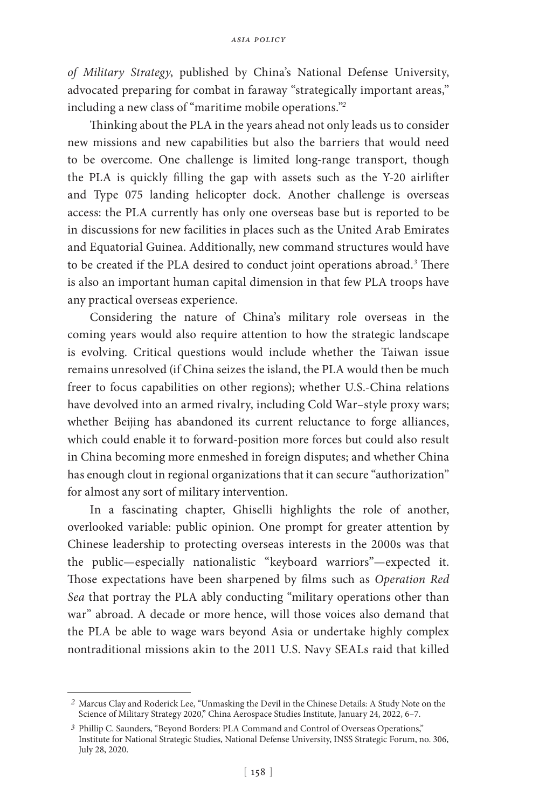*of Military Strategy*, published by China's National Defense University, advocated preparing for combat in faraway "strategically important areas," including a new class of "maritime mobile operations."*<sup>2</sup>*

Thinking about the PLA in the years ahead not only leads us to consider new missions and new capabilities but also the barriers that would need to be overcome. One challenge is limited long-range transport, though the PLA is quickly filling the gap with assets such as the Y-20 airlifter and Type 075 landing helicopter dock. Another challenge is overseas access: the PLA currently has only one overseas base but is reported to be in discussions for new facilities in places such as the United Arab Emirates and Equatorial Guinea. Additionally, new command structures would have to be created if the PLA desired to conduct joint operations abroad.*<sup>3</sup>* There is also an important human capital dimension in that few PLA troops have any practical overseas experience.

Considering the nature of China's military role overseas in the coming years would also require attention to how the strategic landscape is evolving. Critical questions would include whether the Taiwan issue remains unresolved (if China seizes the island, the PLA would then be much freer to focus capabilities on other regions); whether U.S.-China relations have devolved into an armed rivalry, including Cold War–style proxy wars; whether Beijing has abandoned its current reluctance to forge alliances, which could enable it to forward-position more forces but could also result in China becoming more enmeshed in foreign disputes; and whether China has enough clout in regional organizations that it can secure "authorization" for almost any sort of military intervention.

In a fascinating chapter, Ghiselli highlights the role of another, overlooked variable: public opinion. One prompt for greater attention by Chinese leadership to protecting overseas interests in the 2000s was that the public—especially nationalistic "keyboard warriors"—expected it. Those expectations have been sharpened by films such as *Operation Red Sea* that portray the PLA ably conducting "military operations other than war" abroad. A decade or more hence, will those voices also demand that the PLA be able to wage wars beyond Asia or undertake highly complex nontraditional missions akin to the 2011 U.S. Navy SEALs raid that killed

*<sup>2</sup>* Marcus Clay and Roderick Lee, "Unmasking the Devil in the Chinese Details: A Study Note on the Science of Military Strategy 2020," China Aerospace Studies Institute, January 24, 2022, 6–7.

*<sup>3</sup>* Phillip C. Saunders, "Beyond Borders: PLA Command and Control of Overseas Operations," Institute for National Strategic Studies, National Defense University, INSS Strategic Forum, no. 306, July 28, 2020.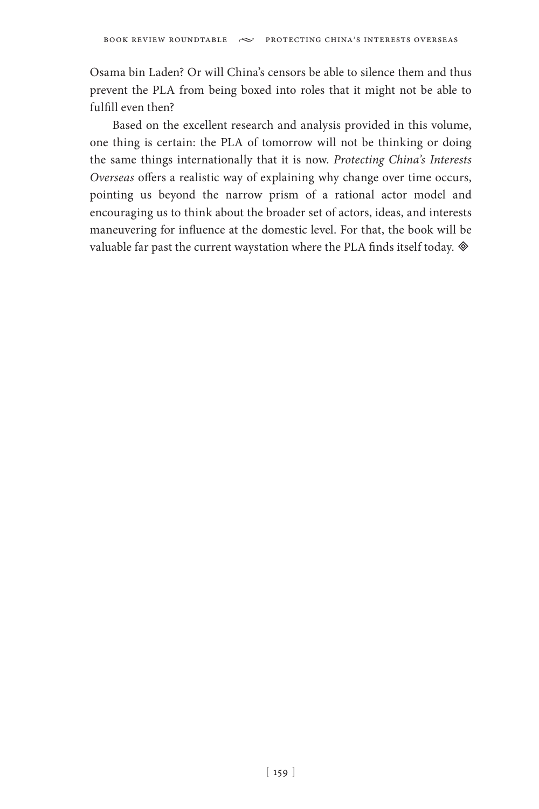Osama bin Laden? Or will China's censors be able to silence them and thus prevent the PLA from being boxed into roles that it might not be able to fulfill even then?

Based on the excellent research and analysis provided in this volume, one thing is certain: the PLA of tomorrow will not be thinking or doing the same things internationally that it is now. *Protecting China's Interests Overseas* offers a realistic way of explaining why change over time occurs, pointing us beyond the narrow prism of a rational actor model and encouraging us to think about the broader set of actors, ideas, and interests maneuvering for influence at the domestic level. For that, the book will be valuable far past the current waystation where the PLA finds itself today.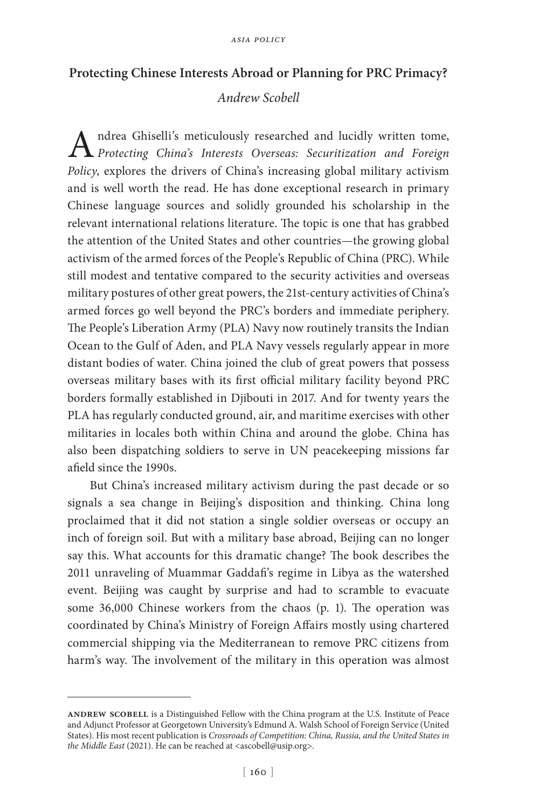## **Protecting Chinese Interests Abroad or Planning for PRC Primacy?**

# *Andrew Scobell*

Andrea Ghiselli's meticulously researched and lucidly written tome, *Protecting China's Interests Overseas: Securitization and Foreign Policy*, explores the drivers of China's increasing global military activism and is well worth the read. He has done exceptional research in primary Chinese language sources and solidly grounded his scholarship in the relevant international relations literature. The topic is one that has grabbed the attention of the United States and other countries—the growing global activism of the armed forces of the People's Republic of China (PRC). While still modest and tentative compared to the security activities and overseas military postures of other great powers, the 21st-century activities of China's armed forces go well beyond the PRC's borders and immediate periphery. The People's Liberation Army (PLA) Navy now routinely transits the Indian Ocean to the Gulf of Aden, and PLA Navy vessels regularly appear in more distant bodies of water. China joined the club of great powers that possess overseas military bases with its first official military facility beyond PRC borders formally established in Djibouti in 2017. And for twenty years the PLA has regularly conducted ground, air, and maritime exercises with other militaries in locales both within China and around the globe. China has also been dispatching soldiers to serve in UN peacekeeping missions far afield since the 1990s.

But China's increased military activism during the past decade or so signals a sea change in Beijing's disposition and thinking. China long proclaimed that it did not station a single soldier overseas or occupy an inch of foreign soil. But with a military base abroad, Beijing can no longer say this. What accounts for this dramatic change? The book describes the 2011 unraveling of Muammar Gaddafi's regime in Libya as the watershed event. Beijing was caught by surprise and had to scramble to evacuate some 36,000 Chinese workers from the chaos (p. 1). The operation was coordinated by China's Ministry of Foreign Affairs mostly using chartered commercial shipping via the Mediterranean to remove PRC citizens from harm's way. The involvement of the military in this operation was almost

ANDREW SCOBELL is a Distinguished Fellow with the China program at the U.S. Institute of Peace and Adjunct Professor at Georgetown University's Edmund A. Walsh School of Foreign Service (United States). His most recent publication is *Crossroads of Competition: China, Russia, and the United States in the Middle East* (2021). He can be reached at <ascobell@usip.org>.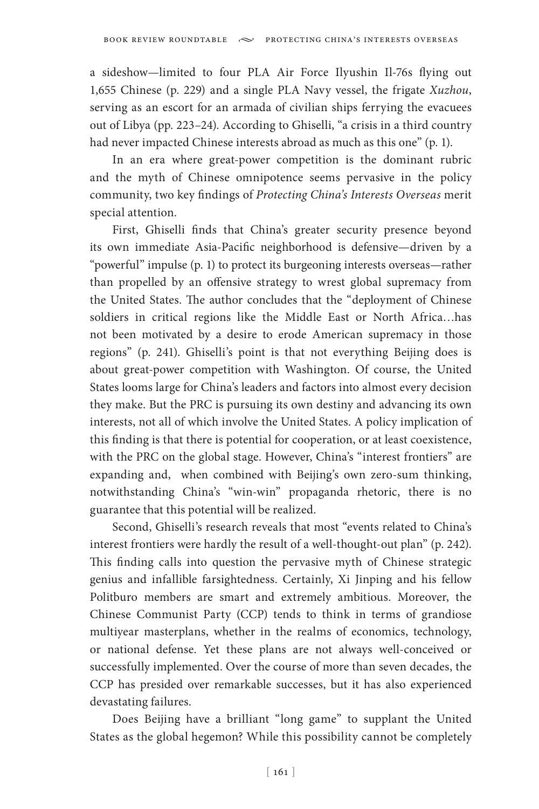a sideshow—limited to four PLA Air Force Ilyushin Il-76s flying out 1,655 Chinese (p. 229) and a single PLA Navy vessel, the frigate *Xuzhou*, serving as an escort for an armada of civilian ships ferrying the evacuees out of Libya (pp. 223–24). According to Ghiselli, "a crisis in a third country had never impacted Chinese interests abroad as much as this one" (p. 1).

In an era where great-power competition is the dominant rubric and the myth of Chinese omnipotence seems pervasive in the policy community, two key findings of *Protecting China's Interests Overseas* merit special attention.

First, Ghiselli finds that China's greater security presence beyond its own immediate Asia-Pacific neighborhood is defensive—driven by a "powerful" impulse (p. 1) to protect its burgeoning interests overseas—rather than propelled by an offensive strategy to wrest global supremacy from the United States. The author concludes that the "deployment of Chinese soldiers in critical regions like the Middle East or North Africa…has not been motivated by a desire to erode American supremacy in those regions" (p. 241). Ghiselli's point is that not everything Beijing does is about great-power competition with Washington. Of course, the United States looms large for China's leaders and factors into almost every decision they make. But the PRC is pursuing its own destiny and advancing its own interests, not all of which involve the United States. A policy implication of this finding is that there is potential for cooperation, or at least coexistence, with the PRC on the global stage. However, China's "interest frontiers" are expanding and, when combined with Beijing's own zero-sum thinking, notwithstanding China's "win-win" propaganda rhetoric, there is no guarantee that this potential will be realized.

Second, Ghiselli's research reveals that most "events related to China's interest frontiers were hardly the result of a well-thought-out plan" (p. 242). This finding calls into question the pervasive myth of Chinese strategic genius and infallible farsightedness. Certainly, Xi Jinping and his fellow Politburo members are smart and extremely ambitious. Moreover, the Chinese Communist Party (CCP) tends to think in terms of grandiose multiyear masterplans, whether in the realms of economics, technology, or national defense. Yet these plans are not always well-conceived or successfully implemented. Over the course of more than seven decades, the CCP has presided over remarkable successes, but it has also experienced devastating failures.

Does Beijing have a brilliant "long game" to supplant the United States as the global hegemon? While this possibility cannot be completely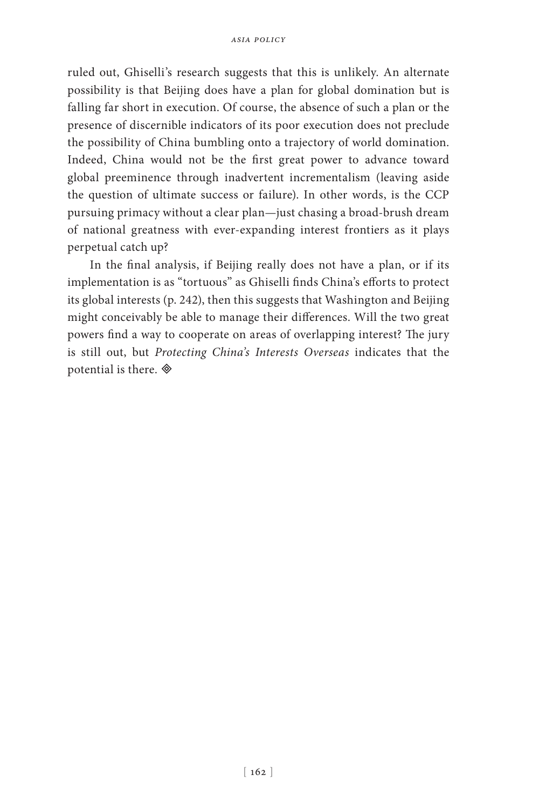ruled out, Ghiselli's research suggests that this is unlikely. An alternate possibility is that Beijing does have a plan for global domination but is falling far short in execution. Of course, the absence of such a plan or the presence of discernible indicators of its poor execution does not preclude the possibility of China bumbling onto a trajectory of world domination. Indeed, China would not be the first great power to advance toward global preeminence through inadvertent incrementalism (leaving aside the question of ultimate success or failure). In other words, is the CCP pursuing primacy without a clear plan—just chasing a broad-brush dream of national greatness with ever-expanding interest frontiers as it plays perpetual catch up?

In the final analysis, if Beijing really does not have a plan, or if its implementation is as "tortuous" as Ghiselli finds China's efforts to protect its global interests (p. 242), then this suggests that Washington and Beijing might conceivably be able to manage their differences. Will the two great powers find a way to cooperate on areas of overlapping interest? The jury is still out, but *Protecting China's Interests Overseas* indicates that the potential is there.  $\otimes$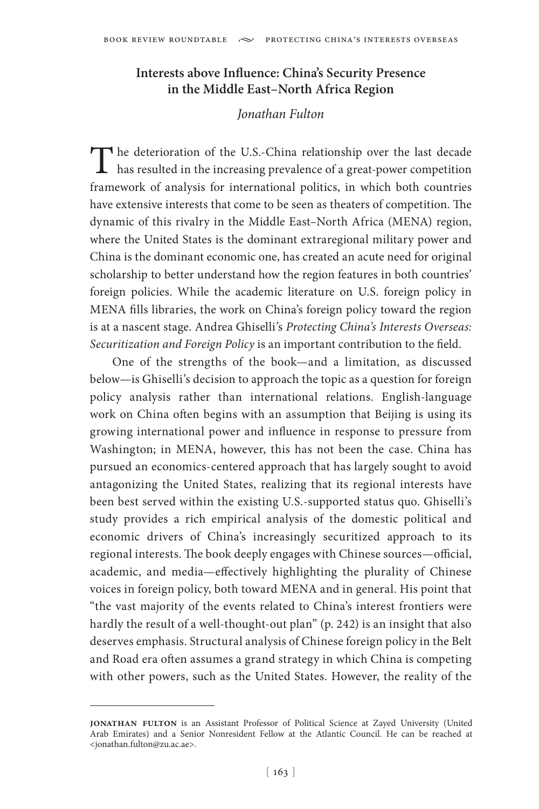## **Interests above Influence: China's Security Presence in the Middle East–North Africa Region**

## *Jonathan Fulton*

The deterioration of the U.S.-China relationship over the last decade has resulted in the increasing prevalence of a great-power competition framework of analysis for international politics, in which both countries have extensive interests that come to be seen as theaters of competition. The dynamic of this rivalry in the Middle East–North Africa (MENA) region, where the United States is the dominant extraregional military power and China is the dominant economic one, has created an acute need for original scholarship to better understand how the region features in both countries' foreign policies. While the academic literature on U.S. foreign policy in MENA fills libraries, the work on China's foreign policy toward the region is at a nascent stage. Andrea Ghiselli's *Protecting China's Interests Overseas: Securitization and Foreign Policy* is an important contribution to the field.

One of the strengths of the book—and a limitation, as discussed below—is Ghiselli's decision to approach the topic as a question for foreign policy analysis rather than international relations. English-language work on China often begins with an assumption that Beijing is using its growing international power and influence in response to pressure from Washington; in MENA, however, this has not been the case. China has pursued an economics-centered approach that has largely sought to avoid antagonizing the United States, realizing that its regional interests have been best served within the existing U.S.-supported status quo. Ghiselli's study provides a rich empirical analysis of the domestic political and economic drivers of China's increasingly securitized approach to its regional interests. The book deeply engages with Chinese sources—official, academic, and media—effectively highlighting the plurality of Chinese voices in foreign policy, both toward MENA and in general. His point that "the vast majority of the events related to China's interest frontiers were hardly the result of a well-thought-out plan" (p. 242) is an insight that also deserves emphasis. Structural analysis of Chinese foreign policy in the Belt and Road era often assumes a grand strategy in which China is competing with other powers, such as the United States. However, the reality of the

**jonathan fulton** is an Assistant Professor of Political Science at Zayed University (United Arab Emirates) and a Senior Nonresident Fellow at the Atlantic Council. He can be reached at <jonathan.fulton@zu.ac.ae>.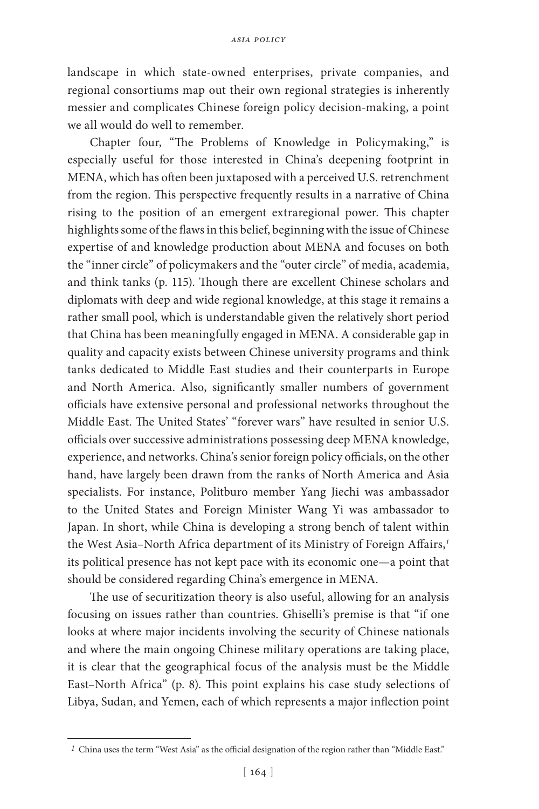landscape in which state-owned enterprises, private companies, and regional consortiums map out their own regional strategies is inherently messier and complicates Chinese foreign policy decision-making, a point we all would do well to remember.

Chapter four, "The Problems of Knowledge in Policymaking," is especially useful for those interested in China's deepening footprint in MENA, which has often been juxtaposed with a perceived U.S. retrenchment from the region. This perspective frequently results in a narrative of China rising to the position of an emergent extraregional power. This chapter highlights some of the flaws in this belief, beginning with the issue of Chinese expertise of and knowledge production about MENA and focuses on both the "inner circle" of policymakers and the "outer circle" of media, academia, and think tanks (p. 115). Though there are excellent Chinese scholars and diplomats with deep and wide regional knowledge, at this stage it remains a rather small pool, which is understandable given the relatively short period that China has been meaningfully engaged in MENA. A considerable gap in quality and capacity exists between Chinese university programs and think tanks dedicated to Middle East studies and their counterparts in Europe and North America. Also, significantly smaller numbers of government officials have extensive personal and professional networks throughout the Middle East. The United States' "forever wars" have resulted in senior U.S. officials over successive administrations possessing deep MENA knowledge, experience, and networks. China's senior foreign policy officials, on the other hand, have largely been drawn from the ranks of North America and Asia specialists. For instance, Politburo member Yang Jiechi was ambassador to the United States and Foreign Minister Wang Yi was ambassador to Japan. In short, while China is developing a strong bench of talent within the West Asia–North Africa department of its Ministry of Foreign Affairs,*<sup>1</sup>* its political presence has not kept pace with its economic one—a point that should be considered regarding China's emergence in MENA.

The use of securitization theory is also useful, allowing for an analysis focusing on issues rather than countries. Ghiselli's premise is that "if one looks at where major incidents involving the security of Chinese nationals and where the main ongoing Chinese military operations are taking place, it is clear that the geographical focus of the analysis must be the Middle East–North Africa" (p. 8). This point explains his case study selections of Libya, Sudan, and Yemen, each of which represents a major inflection point

*<sup>1</sup>* China uses the term "West Asia" as the official designation of the region rather than "Middle East."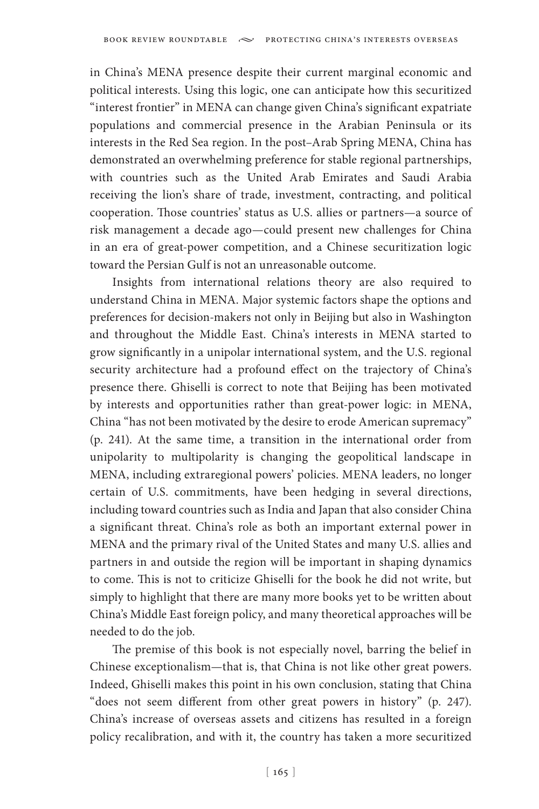in China's MENA presence despite their current marginal economic and political interests. Using this logic, one can anticipate how this securitized "interest frontier" in MENA can change given China's significant expatriate populations and commercial presence in the Arabian Peninsula or its interests in the Red Sea region. In the post–Arab Spring MENA, China has demonstrated an overwhelming preference for stable regional partnerships, with countries such as the United Arab Emirates and Saudi Arabia receiving the lion's share of trade, investment, contracting, and political cooperation. Those countries' status as U.S. allies or partners—a source of risk management a decade ago—could present new challenges for China in an era of great-power competition, and a Chinese securitization logic toward the Persian Gulf is not an unreasonable outcome.

Insights from international relations theory are also required to understand China in MENA. Major systemic factors shape the options and preferences for decision-makers not only in Beijing but also in Washington and throughout the Middle East. China's interests in MENA started to grow significantly in a unipolar international system, and the U.S. regional security architecture had a profound effect on the trajectory of China's presence there. Ghiselli is correct to note that Beijing has been motivated by interests and opportunities rather than great-power logic: in MENA, China "has not been motivated by the desire to erode American supremacy" (p. 241). At the same time, a transition in the international order from unipolarity to multipolarity is changing the geopolitical landscape in MENA, including extraregional powers' policies. MENA leaders, no longer certain of U.S. commitments, have been hedging in several directions, including toward countries such as India and Japan that also consider China a significant threat. China's role as both an important external power in MENA and the primary rival of the United States and many U.S. allies and partners in and outside the region will be important in shaping dynamics to come. This is not to criticize Ghiselli for the book he did not write, but simply to highlight that there are many more books yet to be written about China's Middle East foreign policy, and many theoretical approaches will be needed to do the job.

The premise of this book is not especially novel, barring the belief in Chinese exceptionalism—that is, that China is not like other great powers. Indeed, Ghiselli makes this point in his own conclusion, stating that China "does not seem different from other great powers in history" (p. 247). China's increase of overseas assets and citizens has resulted in a foreign policy recalibration, and with it, the country has taken a more securitized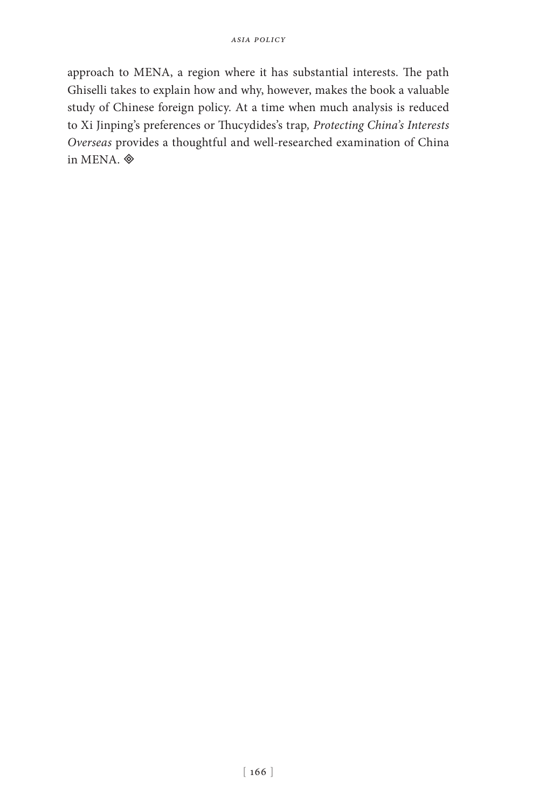approach to MENA, a region where it has substantial interests. The path Ghiselli takes to explain how and why, however, makes the book a valuable study of Chinese foreign policy. At a time when much analysis is reduced to Xi Jinping's preferences or Thucydides's trap*, Protecting China's Interests Overseas* provides a thoughtful and well-researched examination of China in MENA.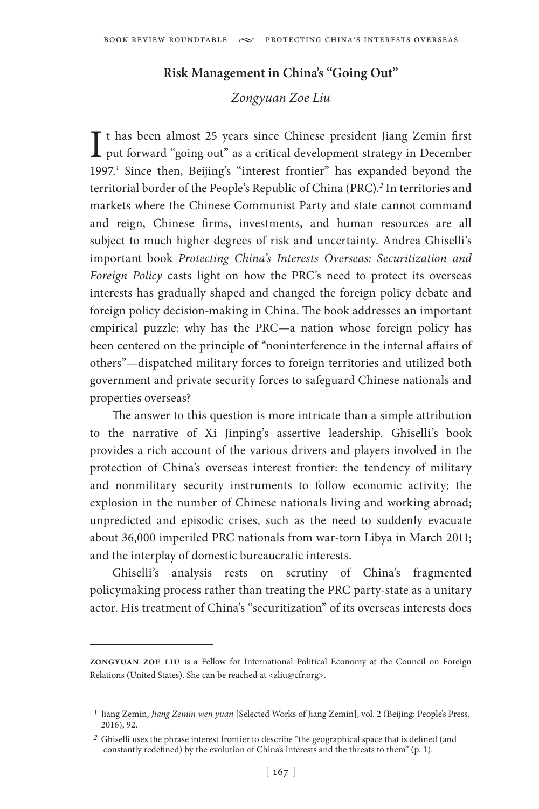## **Risk Management in China's "Going Out"**

#### *Zongyuan Zoe Liu*

It has been almost 25 years since Chinese president Jiang Zemin first<br>put forward "going out" as a critical development strategy in December  $\perp$  put forward "going out" as a critical development strategy in December 1997.*<sup>1</sup>* Since then, Beijing's "interest frontier" has expanded beyond the territorial border of the People's Republic of China (PRC).*<sup>2</sup>* In territories and markets where the Chinese Communist Party and state cannot command and reign, Chinese firms, investments, and human resources are all subject to much higher degrees of risk and uncertainty. Andrea Ghiselli's important book *Protecting China's Interests Overseas: Securitization and Foreign Policy* casts light on how the PRC's need to protect its overseas interests has gradually shaped and changed the foreign policy debate and foreign policy decision-making in China. The book addresses an important empirical puzzle: why has the PRC—a nation whose foreign policy has been centered on the principle of "noninterference in the internal affairs of others"—dispatched military forces to foreign territories and utilized both government and private security forces to safeguard Chinese nationals and properties overseas?

The answer to this question is more intricate than a simple attribution to the narrative of Xi Jinping's assertive leadership. Ghiselli's book provides a rich account of the various drivers and players involved in the protection of China's overseas interest frontier: the tendency of military and nonmilitary security instruments to follow economic activity; the explosion in the number of Chinese nationals living and working abroad; unpredicted and episodic crises, such as the need to suddenly evacuate about 36,000 imperiled PRC nationals from war-torn Libya in March 2011; and the interplay of domestic bureaucratic interests.

Ghiselli's analysis rests on scrutiny of China's fragmented policymaking process rather than treating the PRC party-state as a unitary actor. His treatment of China's "securitization" of its overseas interests does

**zongyuan zoe liu** is a Fellow for International Political Economy at the Council on Foreign Relations (United States). She can be reached at <zliu@cfr.org>.

*<sup>1</sup>* Jiang Zemin, *Jiang Zemin wen yuan* [Selected Works of Jiang Zemin], vol. 2 (Beijing: People's Press, 2016), 92.

*<sup>2</sup>* Ghiselli uses the phrase interest frontier to describe "the geographical space that is defined (and constantly redefined) by the evolution of China's interests and the threats to them" (p. 1).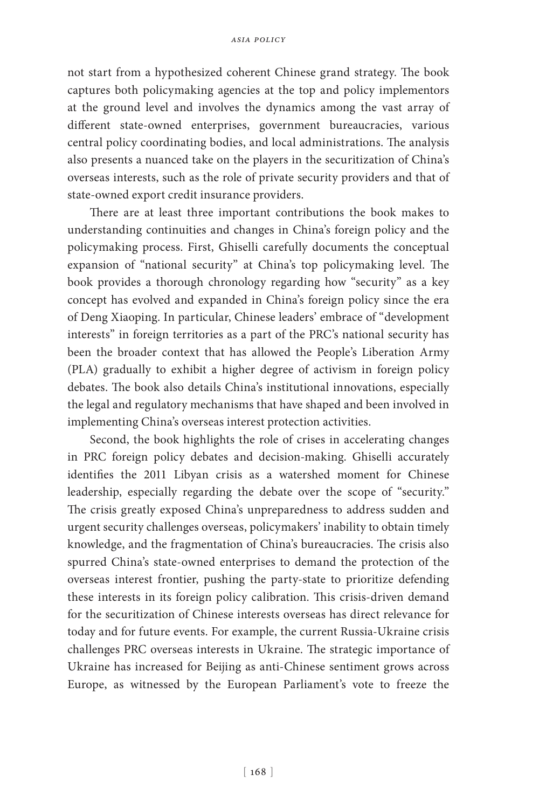not start from a hypothesized coherent Chinese grand strategy. The book captures both policymaking agencies at the top and policy implementors at the ground level and involves the dynamics among the vast array of different state-owned enterprises, government bureaucracies, various central policy coordinating bodies, and local administrations. The analysis also presents a nuanced take on the players in the securitization of China's overseas interests, such as the role of private security providers and that of state-owned export credit insurance providers.

There are at least three important contributions the book makes to understanding continuities and changes in China's foreign policy and the policymaking process. First, Ghiselli carefully documents the conceptual expansion of "national security" at China's top policymaking level. The book provides a thorough chronology regarding how "security" as a key concept has evolved and expanded in China's foreign policy since the era of Deng Xiaoping. In particular, Chinese leaders' embrace of "development interests" in foreign territories as a part of the PRC's national security has been the broader context that has allowed the People's Liberation Army (PLA) gradually to exhibit a higher degree of activism in foreign policy debates. The book also details China's institutional innovations, especially the legal and regulatory mechanisms that have shaped and been involved in implementing China's overseas interest protection activities.

Second, the book highlights the role of crises in accelerating changes in PRC foreign policy debates and decision-making. Ghiselli accurately identifies the 2011 Libyan crisis as a watershed moment for Chinese leadership, especially regarding the debate over the scope of "security." The crisis greatly exposed China's unpreparedness to address sudden and urgent security challenges overseas, policymakers' inability to obtain timely knowledge, and the fragmentation of China's bureaucracies. The crisis also spurred China's state-owned enterprises to demand the protection of the overseas interest frontier, pushing the party-state to prioritize defending these interests in its foreign policy calibration. This crisis-driven demand for the securitization of Chinese interests overseas has direct relevance for today and for future events. For example, the current Russia-Ukraine crisis challenges PRC overseas interests in Ukraine. The strategic importance of Ukraine has increased for Beijing as anti-Chinese sentiment grows across Europe, as witnessed by the European Parliament's vote to freeze the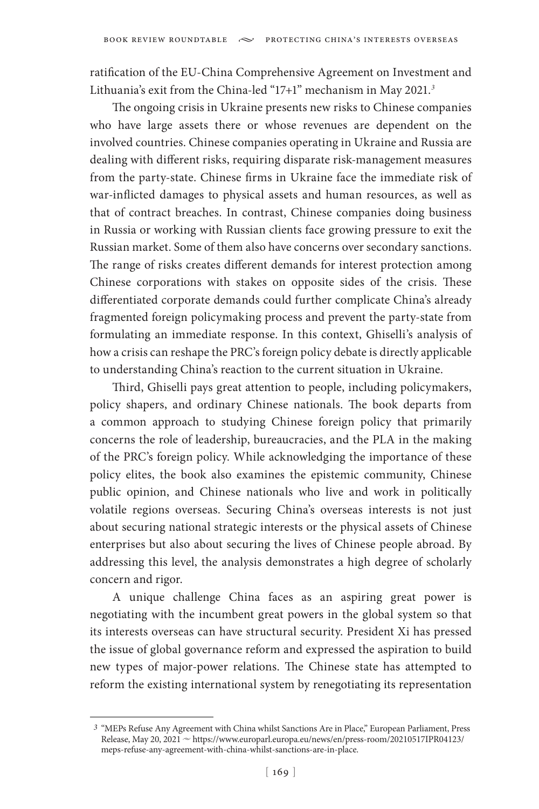ratification of the EU-China Comprehensive Agreement on Investment and Lithuania's exit from the China-led "17+1" mechanism in May 2021.*<sup>3</sup>*

The ongoing crisis in Ukraine presents new risks to Chinese companies who have large assets there or whose revenues are dependent on the involved countries. Chinese companies operating in Ukraine and Russia are dealing with different risks, requiring disparate risk-management measures from the party-state. Chinese firms in Ukraine face the immediate risk of war-inflicted damages to physical assets and human resources, as well as that of contract breaches. In contrast, Chinese companies doing business in Russia or working with Russian clients face growing pressure to exit the Russian market. Some of them also have concerns over secondary sanctions. The range of risks creates different demands for interest protection among Chinese corporations with stakes on opposite sides of the crisis. These differentiated corporate demands could further complicate China's already fragmented foreign policymaking process and prevent the party-state from formulating an immediate response. In this context, Ghiselli's analysis of how a crisis can reshape the PRC's foreign policy debate is directly applicable to understanding China's reaction to the current situation in Ukraine.

Third, Ghiselli pays great attention to people, including policymakers, policy shapers, and ordinary Chinese nationals. The book departs from a common approach to studying Chinese foreign policy that primarily concerns the role of leadership, bureaucracies, and the PLA in the making of the PRC's foreign policy. While acknowledging the importance of these policy elites, the book also examines the epistemic community, Chinese public opinion, and Chinese nationals who live and work in politically volatile regions overseas. Securing China's overseas interests is not just about securing national strategic interests or the physical assets of Chinese enterprises but also about securing the lives of Chinese people abroad. By addressing this level, the analysis demonstrates a high degree of scholarly concern and rigor.

A unique challenge China faces as an aspiring great power is negotiating with the incumbent great powers in the global system so that its interests overseas can have structural security. President Xi has pressed the issue of global governance reform and expressed the aspiration to build new types of major-power relations. The Chinese state has attempted to reform the existing international system by renegotiating its representation

*<sup>3</sup>* "MEPs Refuse Any Agreement with China whilst Sanctions Are in Place," European Parliament, Press Release, May 20, 2021 ~ https://www.europarl.europa.eu/news/en/press-room/20210517IPR04123/ meps-refuse-any-agreement-with-china-whilst-sanctions-are-in-place.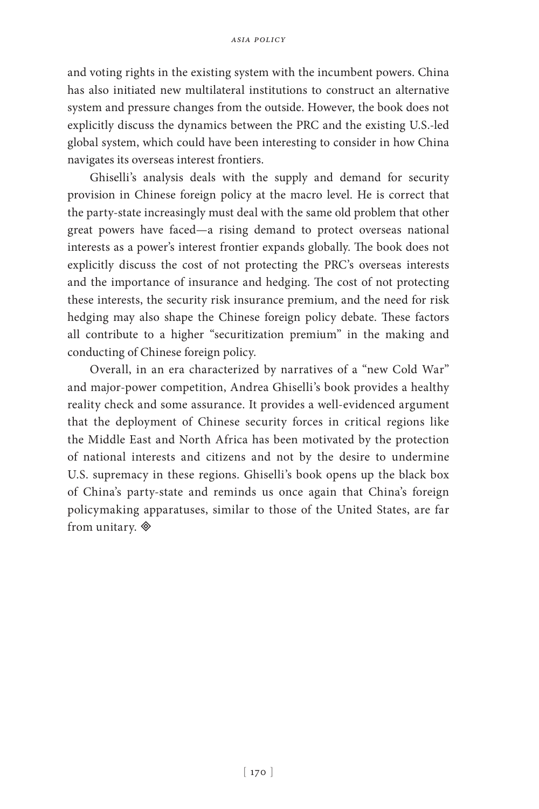and voting rights in the existing system with the incumbent powers. China has also initiated new multilateral institutions to construct an alternative system and pressure changes from the outside. However, the book does not explicitly discuss the dynamics between the PRC and the existing U.S.-led global system, which could have been interesting to consider in how China navigates its overseas interest frontiers.

Ghiselli's analysis deals with the supply and demand for security provision in Chinese foreign policy at the macro level. He is correct that the party-state increasingly must deal with the same old problem that other great powers have faced—a rising demand to protect overseas national interests as a power's interest frontier expands globally. The book does not explicitly discuss the cost of not protecting the PRC's overseas interests and the importance of insurance and hedging. The cost of not protecting these interests, the security risk insurance premium, and the need for risk hedging may also shape the Chinese foreign policy debate. These factors all contribute to a higher "securitization premium" in the making and conducting of Chinese foreign policy.

Overall, in an era characterized by narratives of a "new Cold War" and major-power competition, Andrea Ghiselli's book provides a healthy reality check and some assurance. It provides a well-evidenced argument that the deployment of Chinese security forces in critical regions like the Middle East and North Africa has been motivated by the protection of national interests and citizens and not by the desire to undermine U.S. supremacy in these regions. Ghiselli's book opens up the black box of China's party-state and reminds us once again that China's foreign policymaking apparatuses, similar to those of the United States, are far from unitary.  $\otimes$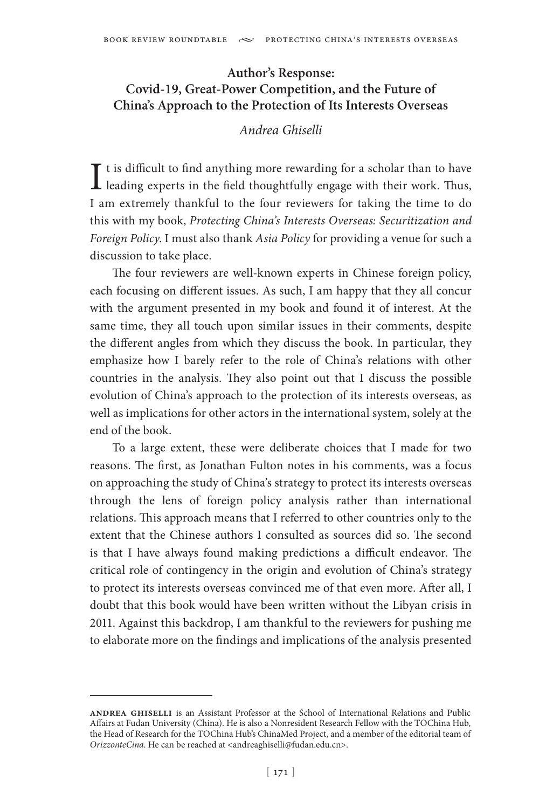# **Author's Response: Covid-19, Great-Power Competition, and the Future of China's Approach to the Protection of Its Interests Overseas**

#### *Andrea Ghiselli*

I t is difficult to find anything more rewarding for a scholar than to have<br>leading experts in the field thoughtfully engage with their work. Thus,  $\mathbf T$  t is difficult to find anything more rewarding for a scholar than to have I am extremely thankful to the four reviewers for taking the time to do this with my book, *Protecting China's Interests Overseas: Securitization and Foreign Policy*. I must also thank *Asia Policy* for providing a venue for such a discussion to take place.

The four reviewers are well-known experts in Chinese foreign policy, each focusing on different issues. As such, I am happy that they all concur with the argument presented in my book and found it of interest. At the same time, they all touch upon similar issues in their comments, despite the different angles from which they discuss the book. In particular, they emphasize how I barely refer to the role of China's relations with other countries in the analysis. They also point out that I discuss the possible evolution of China's approach to the protection of its interests overseas, as well as implications for other actors in the international system, solely at the end of the book.

To a large extent, these were deliberate choices that I made for two reasons. The first, as Jonathan Fulton notes in his comments, was a focus on approaching the study of China's strategy to protect its interests overseas through the lens of foreign policy analysis rather than international relations. This approach means that I referred to other countries only to the extent that the Chinese authors I consulted as sources did so. The second is that I have always found making predictions a difficult endeavor. The critical role of contingency in the origin and evolution of China's strategy to protect its interests overseas convinced me of that even more. After all, I doubt that this book would have been written without the Libyan crisis in 2011. Against this backdrop, I am thankful to the reviewers for pushing me to elaborate more on the findings and implications of the analysis presented

**andrea ghiselli** is an Assistant Professor at the School of International Relations and Public Affairs at Fudan University (China). He is also a Nonresident Research Fellow with the TOChina Hub, the Head of Research for the TOChina Hub's ChinaMed Project, and a member of the editorial team of *OrizzonteCina*. He can be reached at <andreaghiselli@fudan.edu.cn>.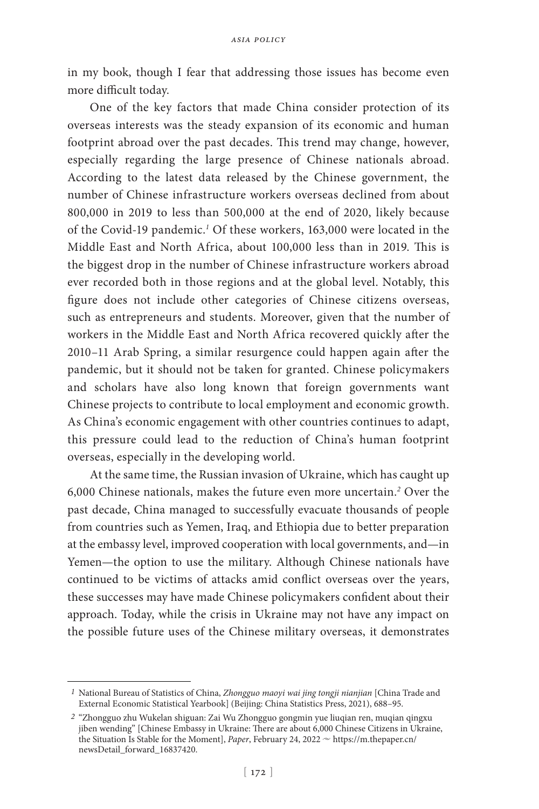in my book, though I fear that addressing those issues has become even more difficult today.

One of the key factors that made China consider protection of its overseas interests was the steady expansion of its economic and human footprint abroad over the past decades. This trend may change, however, especially regarding the large presence of Chinese nationals abroad. According to the latest data released by the Chinese government, the number of Chinese infrastructure workers overseas declined from about 800,000 in 2019 to less than 500,000 at the end of 2020, likely because of the Covid-19 pandemic.<sup>1</sup> Of these workers, 163,000 were located in the Middle East and North Africa, about 100,000 less than in 2019. This is the biggest drop in the number of Chinese infrastructure workers abroad ever recorded both in those regions and at the global level. Notably, this figure does not include other categories of Chinese citizens overseas, such as entrepreneurs and students. Moreover, given that the number of workers in the Middle East and North Africa recovered quickly after the 2010–11 Arab Spring, a similar resurgence could happen again after the pandemic, but it should not be taken for granted. Chinese policymakers and scholars have also long known that foreign governments want Chinese projects to contribute to local employment and economic growth. As China's economic engagement with other countries continues to adapt, this pressure could lead to the reduction of China's human footprint overseas, especially in the developing world.

At the same time, the Russian invasion of Ukraine, which has caught up 6,000 Chinese nationals, makes the future even more uncertain.*<sup>2</sup>* Over the past decade, China managed to successfully evacuate thousands of people from countries such as Yemen, Iraq, and Ethiopia due to better preparation at the embassy level, improved cooperation with local governments, and—in Yemen—the option to use the military. Although Chinese nationals have continued to be victims of attacks amid conflict overseas over the years, these successes may have made Chinese policymakers confident about their approach. Today, while the crisis in Ukraine may not have any impact on the possible future uses of the Chinese military overseas, it demonstrates

*<sup>1</sup>* National Bureau of Statistics of China, *Zhongguo maoyi wai jing tongji nianjian* [China Trade and External Economic Statistical Yearbook] (Beijing: China Statistics Press, 2021), 688–95.

*<sup>2</sup>* "Zhongguo zhu Wukelan shiguan: Zai Wu Zhongguo gongmin yue liuqian ren, muqian qingxu jiben wending" [Chinese Embassy in Ukraine: There are about 6,000 Chinese Citizens in Ukraine, the Situation Is Stable for the Moment], *Paper*, February 24, 2022  $\sim$  https://m.thepaper.cn/ newsDetail\_forward\_16837420.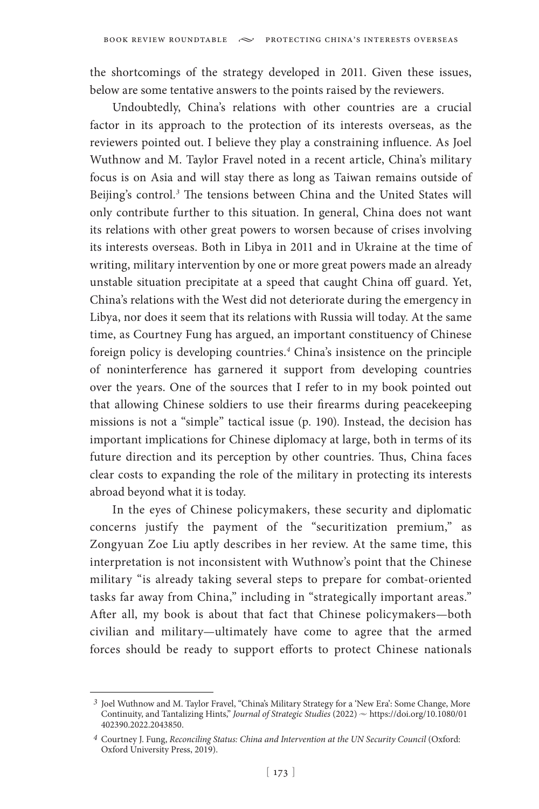the shortcomings of the strategy developed in 2011. Given these issues, below are some tentative answers to the points raised by the reviewers.

Undoubtedly, China's relations with other countries are a crucial factor in its approach to the protection of its interests overseas, as the reviewers pointed out. I believe they play a constraining influence. As Joel Wuthnow and M. Taylor Fravel noted in a recent article, China's military focus is on Asia and will stay there as long as Taiwan remains outside of Beijing's control.*<sup>3</sup>* The tensions between China and the United States will only contribute further to this situation. In general, China does not want its relations with other great powers to worsen because of crises involving its interests overseas. Both in Libya in 2011 and in Ukraine at the time of writing, military intervention by one or more great powers made an already unstable situation precipitate at a speed that caught China off guard. Yet, China's relations with the West did not deteriorate during the emergency in Libya, nor does it seem that its relations with Russia will today. At the same time, as Courtney Fung has argued, an important constituency of Chinese foreign policy is developing countries.*<sup>4</sup>* China's insistence on the principle of noninterference has garnered it support from developing countries over the years. One of the sources that I refer to in my book pointed out that allowing Chinese soldiers to use their firearms during peacekeeping missions is not a "simple" tactical issue (p. 190). Instead, the decision has important implications for Chinese diplomacy at large, both in terms of its future direction and its perception by other countries. Thus, China faces clear costs to expanding the role of the military in protecting its interests abroad beyond what it is today.

In the eyes of Chinese policymakers, these security and diplomatic concerns justify the payment of the "securitization premium," as Zongyuan Zoe Liu aptly describes in her review. At the same time, this interpretation is not inconsistent with Wuthnow's point that the Chinese military "is already taking several steps to prepare for combat-oriented tasks far away from China," including in "strategically important areas." After all, my book is about that fact that Chinese policymakers—both civilian and military—ultimately have come to agree that the armed forces should be ready to support efforts to protect Chinese nationals

*<sup>3</sup>* Joel Wuthnow and M. Taylor Fravel, "China's Military Strategy for a 'New Era': Some Change, More Continuity, and Tantalizing Hints," *Journal of Strategic Studies* (2022)  $\sim$  https://doi.org/10.1080/01 402390.2022.2043850.

*<sup>4</sup>* Courtney J. Fung, *Reconciling Status: China and Intervention at the UN Security Council* (Oxford: Oxford University Press, 2019).